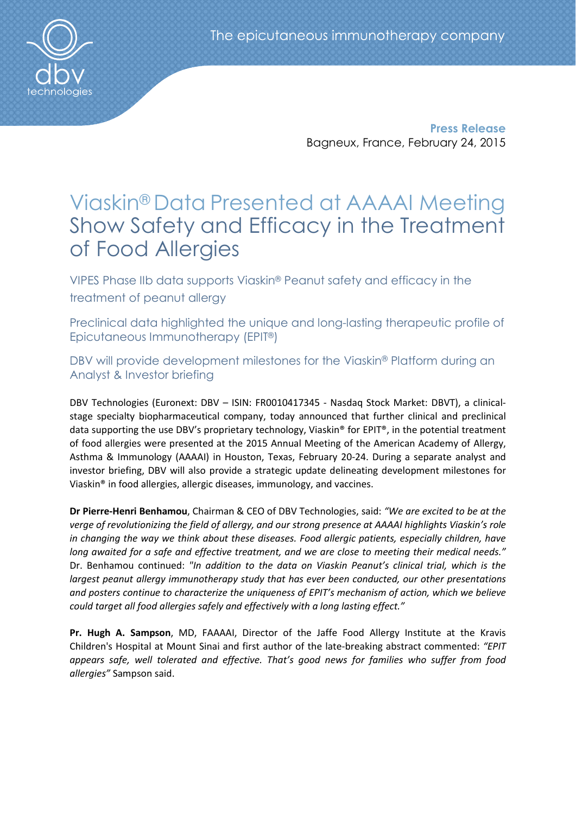Press Release Bagneux, France, February 24, 2015

# Viaskin® Data Presented at AAAAI Meeting Show Safety and Efficacy in the Treatment of Food Allergies

VIPES Phase IIb data supports Viaskin® Peanut safety and efficacy in the treatment of peanut allergy

Preclinical data highlighted the unique and long-lasting therapeutic profile of Epicutaneous Immunotherapy (EPIT®)

DBV will provide development milestones for the Viaskin® Platform during an Analyst & Investor briefing

DBV Technologies (Euronext: DBV – ISIN: FR0010417345 - Nasdaq Stock Market: DBVT), a clinicalstage specialty biopharmaceutical company, today announced that further clinical and preclinical data supporting the use DBV's proprietary technology, Viaskin® for EPIT®, in the potential treatment of food allergies were presented at the 2015 Annual Meeting of the American Academy of Allergy, Asthma & Immunology (AAAAI) in Houston, Texas, February 20-24. During a separate analyst and investor briefing, DBV will also provide a strategic update delineating development milestones for Viaskin® in food allergies, allergic diseases, immunology, and vaccines.

Dr Pierre-Henri Benhamou, Chairman & CEO of DBV Technologies, said: *"We are excited to be at the verge of revolutionizing the field of allergy, and our strong presence at AAAAI highlights Viaskin's role in changing the way we think about these diseases. Food allergic patients, especially children, have long awaited for a safe and effective treatment, and we are close to meeting their medical needs."* Dr. Benhamou continued: *"In addition to the data on Viaskin Peanut's clinical trial, which is the largest peanut allergy immunotherapy study that has ever been conducted, our other presentations and posters continue to characterize the uniqueness of EPIT's mechanism of action, which we believe could target all food allergies safely and effectively with a long lasting effect."*

Pr. Hugh A. Sampson, MD, FAAAAI, Director of the Jaffe Food Allergy Institute at the Kravis Children's Hospital at Mount Sinai and first author of the late-breaking abstract commented: *"EPIT appears safe, well tolerated and effective. That's good news for families who suffer from food allergies"* Sampson said.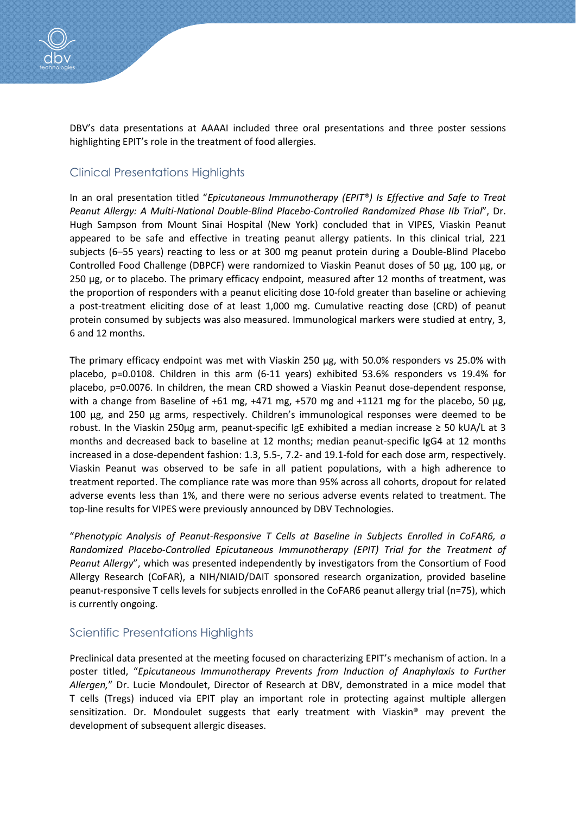DBV's data presentations at AAAAI included three oral presentations and three poster sessions highlighting EPIT's role in the treatment of food allergies.

# Clinical Presentations Highlights

In an oral presentation titled "*Epicutaneous Immunotherapy (EPIT®) Is Effective and Safe to Treat Peanut Allergy: A Multi-National Double-Blind Placebo-Controlled Randomized Phase IIb Trial*", Dr. Hugh Sampson from Mount Sinai Hospital (New York) concluded that in VIPES, Viaskin Peanut appeared to be safe and effective in treating peanut allergy patients. In this clinical trial, 221 subjects (6–55 years) reacting to less or at 300 mg peanut protein during a Double-Blind Placebo Controlled Food Challenge (DBPCF) were randomized to Viaskin Peanut doses of 50 μg, 100 μg, or 250 μg, or to placebo. The primary efficacy endpoint, measured after 12 months of treatment, was the proportion of responders with a peanut eliciting dose 10-fold greater than baseline or achieving a post-treatment eliciting dose of at least 1,000 mg. Cumulative reacting dose (CRD) of peanut protein consumed by subjects was also measured. Immunological markers were studied at entry, 3, 6 and 12 months.

The primary efficacy endpoint was met with Viaskin 250 μg, with 50.0% responders vs 25.0% with placebo, p=0.0108. Children in this arm (6-11 years) exhibited 53.6% responders vs 19.4% for placebo, p=0.0076. In children, the mean CRD showed a Viaskin Peanut dose-dependent response, with a change from Baseline of +61 mg, +471 mg, +570 mg and +1121 mg for the placebo, 50  $\mu$ g, 100 μg, and 250 μg arms, respectively. Children's immunological responses were deemed to be robust. In the Viaskin 250μg arm, peanut-specific IgE exhibited a median increase ≥ 50 kUA/L at 3 months and decreased back to baseline at 12 months; median peanut-specific IgG4 at 12 months increased in a dose-dependent fashion: 1.3, 5.5-, 7.2- and 19.1-fold for each dose arm, respectively. Viaskin Peanut was observed to be safe in all patient populations, with a high adherence to treatment reported. The compliance rate was more than 95% across all cohorts, dropout for related adverse events less than 1%, and there were no serious adverse events related to treatment. The top-line results for VIPES were previously announced by DBV Technologies.

"*Phenotypic Analysis of Peanut-Responsive T Cells at Baseline in Subjects Enrolled in CoFAR6, a Randomized Placebo-Controlled Epicutaneous Immunotherapy (EPIT) Trial for the Treatment of Peanut Allergy*", which was presented independently by investigators from the Consortium of Food Allergy Research (CoFAR), a NIH/NIAID/DAIT sponsored research organization, provided baseline peanut-responsive T cells levels for subjects enrolled in the CoFAR6 peanut allergy trial (n=75), which is currently ongoing.

## Scientific Presentations Highlights

Preclinical data presented at the meeting focused on characterizing EPIT's mechanism of action. In a poster titled, "*Epicutaneous Immunotherapy Prevents from Induction of Anaphylaxis to Further Allergen,*" Dr. Lucie Mondoulet, Director of Research at DBV, demonstrated in a mice model that T cells (Tregs) induced via EPIT play an important role in protecting against multiple allergen sensitization. Dr. Mondoulet suggests that early treatment with Viaskin® may prevent the development of subsequent allergic diseases.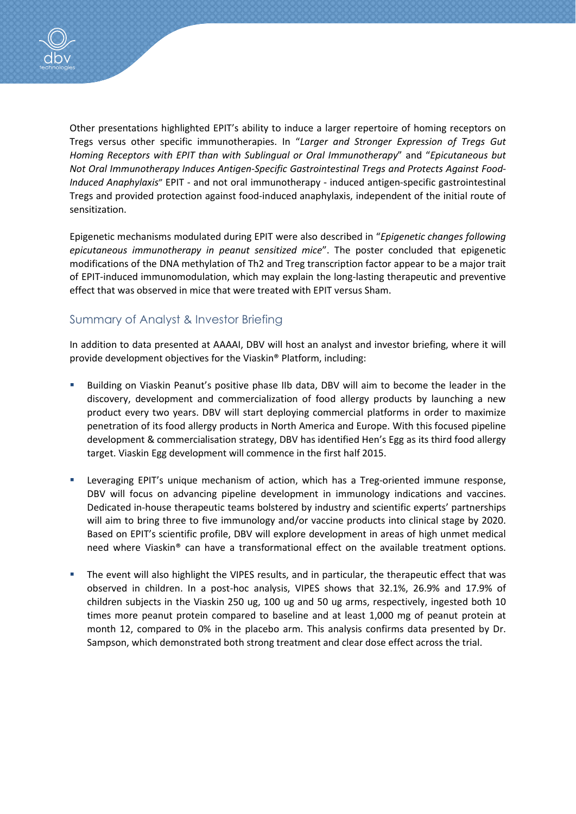

Other presentations highlighted EPIT's ability to induce a larger repertoire of homing receptors on Tregs versus other specific immunotherapies. In "*Larger and Stronger Expression of Tregs Gut Homing Receptors with EPIT than with Sublingual or Oral Immunotherapy*" and "*Epicutaneous but Not Oral Immunotherapy Induces Antigen-Specific Gastrointestinal Tregs and Protects Against Food-Induced Anaphylaxis*" EPIT - and not oral immunotherapy - induced antigen-specific gastrointestinal Tregs and provided protection against food-induced anaphylaxis, independent of the initial route of sensitization.

Epigenetic mechanisms modulated during EPIT were also described in "*Epigenetic changes following epicutaneous immunotherapy in peanut sensitized mice*". The poster concluded that epigenetic modifications of the DNA methylation of Th2 and Treg transcription factor appear to be a major trait of EPIT-induced immunomodulation, which may explain the long-lasting therapeutic and preventive effect that was observed in mice that were treated with EPIT versus Sham.

## Summary of Analyst & Investor Briefing

In addition to data presented at AAAAI, DBV will host an analyst and investor briefing, where it will provide development objectives for the Viaskin® Platform, including:

- Building on Viaskin Peanut's positive phase IIb data, DBV will aim to become the leader in the discovery, development and commercialization of food allergy products by launching a new product every two years. DBV will start deploying commercial platforms in order to maximize penetration of its food allergy products in North America and Europe. With this focused pipeline development & commercialisation strategy, DBV has identified Hen's Egg as its third food allergy target. Viaskin Egg development will commence in the first half 2015.
- Leveraging EPIT's unique mechanism of action, which has a Treg-oriented immune response, DBV will focus on advancing pipeline development in immunology indications and vaccines. Dedicated in-house therapeutic teams bolstered by industry and scientific experts' partnerships will aim to bring three to five immunology and/or vaccine products into clinical stage by 2020. Based on EPIT's scientific profile, DBV will explore development in areas of high unmet medical need where Viaskin® can have a transformational effect on the available treatment options.
- The event will also highlight the VIPES results, and in particular, the therapeutic effect that was observed in children. In a post-hoc analysis, VIPES shows that 32.1%, 26.9% and 17.9% of children subjects in the Viaskin 250 ug, 100 ug and 50 ug arms, respectively, ingested both 10 times more peanut protein compared to baseline and at least 1,000 mg of peanut protein at month 12, compared to 0% in the placebo arm. This analysis confirms data presented by Dr. Sampson, which demonstrated both strong treatment and clear dose effect across the trial.